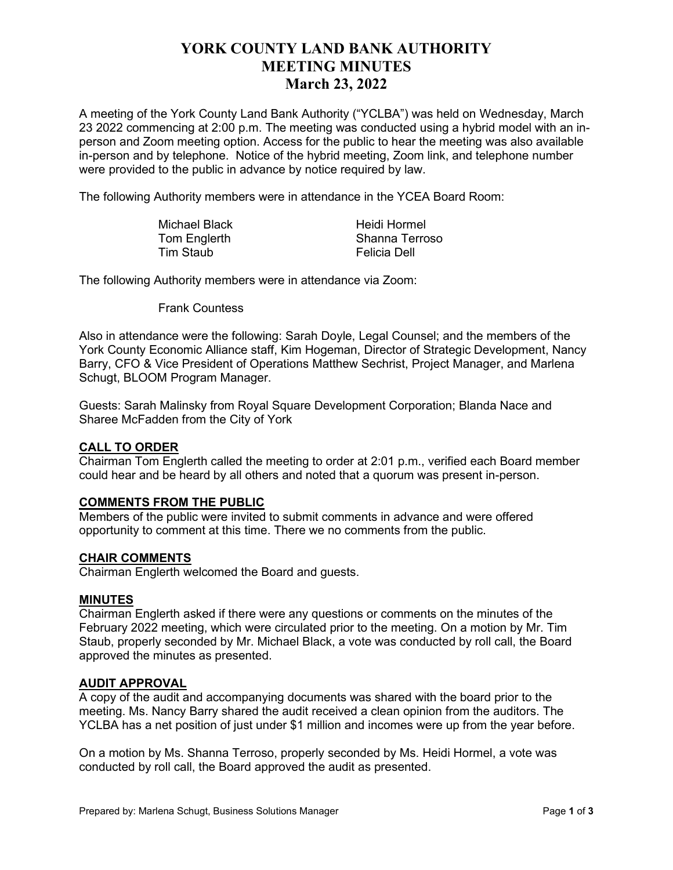# **YORK COUNTY LAND BANK AUTHORITY MEETING MINUTES March 23, 2022**

A meeting of the York County Land Bank Authority ("YCLBA") was held on Wednesday, March 23 2022 commencing at 2:00 p.m. The meeting was conducted using a hybrid model with an inperson and Zoom meeting option. Access for the public to hear the meeting was also available in-person and by telephone. Notice of the hybrid meeting, Zoom link, and telephone number were provided to the public in advance by notice required by law.

The following Authority members were in attendance in the YCEA Board Room:

| Michael Black | Heidi Hormel   |
|---------------|----------------|
| Tom Englerth  | Shanna Terroso |
| Tim Staub     | Felicia Dell   |

The following Authority members were in attendance via Zoom:

Frank Countess

Also in attendance were the following: Sarah Doyle, Legal Counsel; and the members of the York County Economic Alliance staff, Kim Hogeman, Director of Strategic Development, Nancy Barry, CFO & Vice President of Operations Matthew Sechrist, Project Manager, and Marlena Schugt, BLOOM Program Manager.

Guests: Sarah Malinsky from Royal Square Development Corporation; Blanda Nace and Sharee McFadden from the City of York

# **CALL TO ORDER**

Chairman Tom Englerth called the meeting to order at 2:01 p.m., verified each Board member could hear and be heard by all others and noted that a quorum was present in-person.

# **COMMENTS FROM THE PUBLIC**

Members of the public were invited to submit comments in advance and were offered opportunity to comment at this time. There we no comments from the public.

#### **CHAIR COMMENTS**

Chairman Englerth welcomed the Board and guests.

#### **MINUTES**

Chairman Englerth asked if there were any questions or comments on the minutes of the February 2022 meeting, which were circulated prior to the meeting. On a motion by Mr. Tim Staub, properly seconded by Mr. Michael Black, a vote was conducted by roll call, the Board approved the minutes as presented.

#### **AUDIT APPROVAL**

A copy of the audit and accompanying documents was shared with the board prior to the meeting. Ms. Nancy Barry shared the audit received a clean opinion from the auditors. The YCLBA has a net position of just under \$1 million and incomes were up from the year before.

On a motion by Ms. Shanna Terroso, properly seconded by Ms. Heidi Hormel, a vote was conducted by roll call, the Board approved the audit as presented.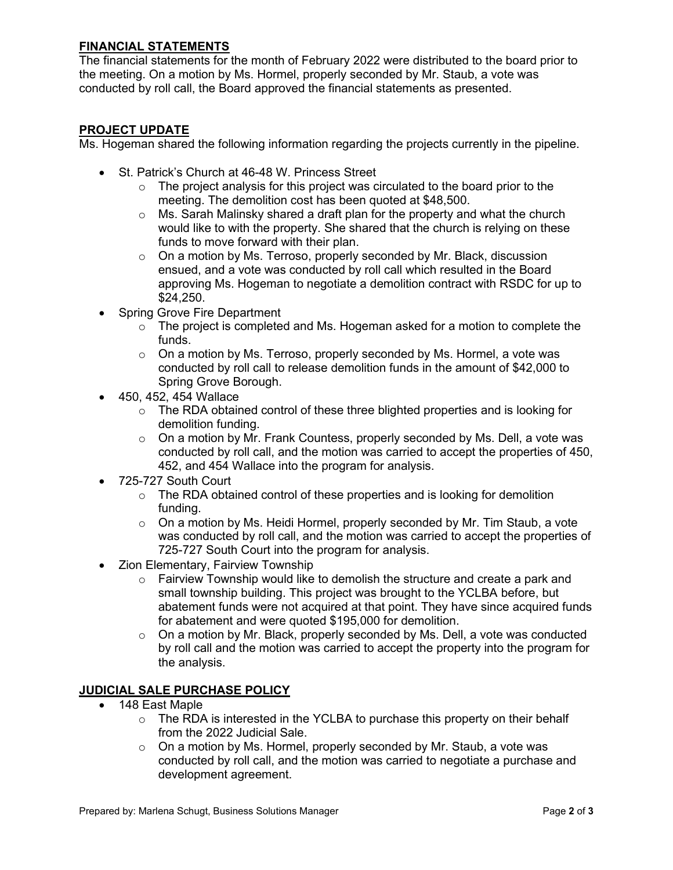# **FINANCIAL STATEMENTS**

The financial statements for the month of February 2022 were distributed to the board prior to the meeting. On a motion by Ms. Hormel, properly seconded by Mr. Staub, a vote was conducted by roll call, the Board approved the financial statements as presented.

# **PROJECT UPDATE**

Ms. Hogeman shared the following information regarding the projects currently in the pipeline.

- St. Patrick's Church at 46-48 W. Princess Street
	- $\circ$  The project analysis for this project was circulated to the board prior to the meeting. The demolition cost has been quoted at \$48,500.
	- $\circ$  Ms. Sarah Malinsky shared a draft plan for the property and what the church would like to with the property. She shared that the church is relying on these funds to move forward with their plan.
	- o On a motion by Ms. Terroso, properly seconded by Mr. Black, discussion ensued, and a vote was conducted by roll call which resulted in the Board approving Ms. Hogeman to negotiate a demolition contract with RSDC for up to \$24,250.
- Spring Grove Fire Department
	- $\circ$  The project is completed and Ms. Hogeman asked for a motion to complete the funds.
	- $\circ$  On a motion by Ms. Terroso, properly seconded by Ms. Hormel, a vote was conducted by roll call to release demolition funds in the amount of \$42,000 to Spring Grove Borough.
- 450, 452, 454 Wallace
	- $\circ$  The RDA obtained control of these three blighted properties and is looking for demolition funding.
	- $\circ$  On a motion by Mr. Frank Countess, properly seconded by Ms. Dell, a vote was conducted by roll call, and the motion was carried to accept the properties of 450, 452, and 454 Wallace into the program for analysis.
- 725-727 South Court
	- $\circ$  The RDA obtained control of these properties and is looking for demolition funding.
	- $\circ$  On a motion by Ms. Heidi Hormel, properly seconded by Mr. Tim Staub, a vote was conducted by roll call, and the motion was carried to accept the properties of 725-727 South Court into the program for analysis.
- Zion Elementary, Fairview Township
	- $\circ$  Fairview Township would like to demolish the structure and create a park and small township building. This project was brought to the YCLBA before, but abatement funds were not acquired at that point. They have since acquired funds for abatement and were quoted \$195,000 for demolition.
	- o On a motion by Mr. Black, properly seconded by Ms. Dell, a vote was conducted by roll call and the motion was carried to accept the property into the program for the analysis.

# **JUDICIAL SALE PURCHASE POLICY**

- 148 East Maple
	- $\circ$  The RDA is interested in the YCLBA to purchase this property on their behalf from the 2022 Judicial Sale.
	- o On a motion by Ms. Hormel, properly seconded by Mr. Staub, a vote was conducted by roll call, and the motion was carried to negotiate a purchase and development agreement.